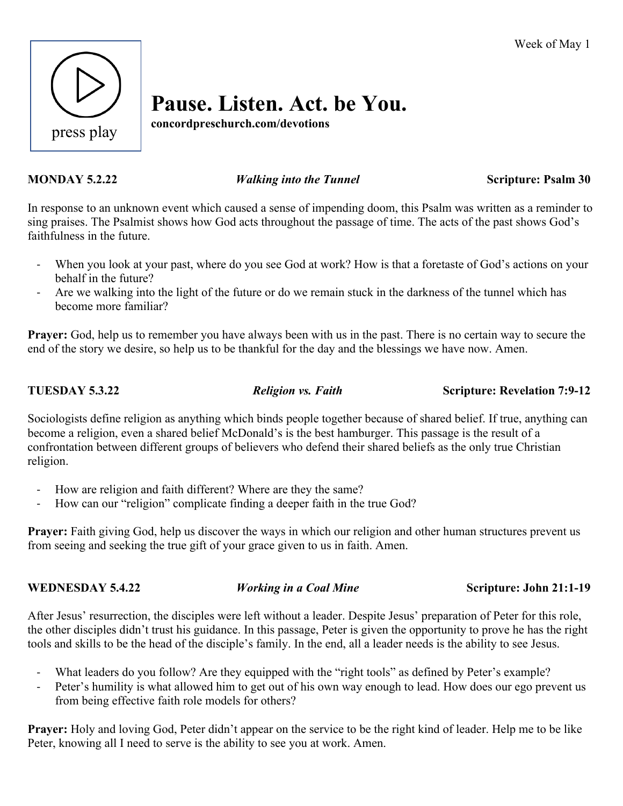

# **Pause. Listen. Act. be You.**

**concordpreschurch.com/devotions**

## **MONDAY 5.2.22** *Walking into the Tunnel* **Scripture: Psalm 30**

In response to an unknown event which caused a sense of impending doom, this Psalm was written as a reminder to sing praises. The Psalmist shows how God acts throughout the passage of time. The acts of the past shows God's faithfulness in the future.

- When you look at your past, where do you see God at work? How is that a foretaste of God's actions on your behalf in the future?
- Are we walking into the light of the future or do we remain stuck in the darkness of the tunnel which has become more familiar?

**Prayer:** God, help us to remember you have always been with us in the past. There is no certain way to secure the end of the story we desire, so help us to be thankful for the day and the blessings we have now. Amen.

**TUESDAY 5.3.22** *Religion vs. Faith* **<b>Scripture: Revelation 7:9-12** 

Sociologists define religion as anything which binds people together because of shared belief. If true, anything can become a religion, even a shared belief McDonald's is the best hamburger. This passage is the result of a confrontation between different groups of believers who defend their shared beliefs as the only true Christian religion.

- How are religion and faith different? Where are they the same?
- How can our "religion" complicate finding a deeper faith in the true God?

**Prayer:** Faith giving God, help us discover the ways in which our religion and other human structures prevent us from seeing and seeking the true gift of your grace given to us in faith. Amen.

# **WEDNESDAY 5.4.22** *Working in a Coal Mine* **Scripture: John 21:1-19**

After Jesus' resurrection, the disciples were left without a leader. Despite Jesus' preparation of Peter for this role, the other disciples didn't trust his guidance. In this passage, Peter is given the opportunity to prove he has the right tools and skills to be the head of the disciple's family. In the end, all a leader needs is the ability to see Jesus.

- What leaders do you follow? Are they equipped with the "right tools" as defined by Peter's example?
- Peter's humility is what allowed him to get out of his own way enough to lead. How does our ego prevent us from being effective faith role models for others?

**Prayer:** Holy and loving God, Peter didn't appear on the service to be the right kind of leader. Help me to be like Peter, knowing all I need to serve is the ability to see you at work. Amen.